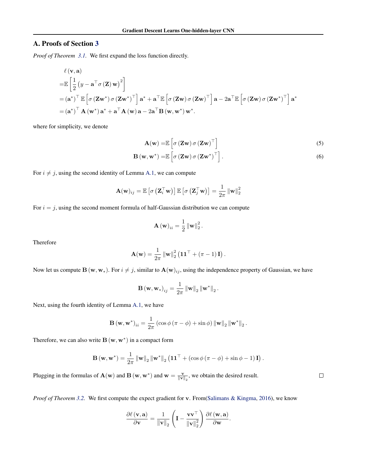# A. Proofs of Section 3

*Proof of Theorem 3.1.* We first expand the loss function directly.

$$
\ell(\mathbf{v}, \mathbf{a})
$$
  
\n
$$
= \mathbb{E}\left[\frac{1}{2} \left(y - \mathbf{a}^\top \sigma(\mathbf{Z}) \mathbf{w}\right)^2\right]
$$
  
\n
$$
= (\mathbf{a}^*)^\top \mathbb{E}\left[\sigma(\mathbf{Z}\mathbf{w}^*) \sigma(\mathbf{Z}\mathbf{w}^*)^\top\right] \mathbf{a}^* + \mathbf{a}^\top \mathbb{E}\left[\sigma(\mathbf{Z}\mathbf{w}) \sigma(\mathbf{Z}\mathbf{w})^\top\right] \mathbf{a} - 2\mathbf{a}^\top \mathbb{E}\left[\sigma(\mathbf{Z}\mathbf{w}) \sigma(\mathbf{Z}\mathbf{w}^*)^\top\right] \mathbf{a}^*
$$
  
\n
$$
= (\mathbf{a}^*)^\top \mathbf{A} (\mathbf{w}^*) \mathbf{a}^* + \mathbf{a}^\top \mathbf{A} (\mathbf{w}) \mathbf{a} - 2\mathbf{a}^\top \mathbf{B} (\mathbf{w}, \mathbf{w}^*) \mathbf{w}^*.
$$

where for simplicity, we denote

$$
\mathbf{A}(\mathbf{w}) = \mathbb{E}\left[\sigma\left(\mathbf{Z}\mathbf{w}\right)\sigma\left(\mathbf{Z}\mathbf{w}\right)^{\top}\right]
$$
\n<sup>(5)</sup>

$$
\mathbf{B}(\mathbf{w}, \mathbf{w}^*) = \mathbb{E}\left[\sigma\left(\mathbf{Z}\mathbf{w}\right)\sigma\left(\mathbf{Z}\mathbf{w}^*\right)^\top\right].\tag{6}
$$

For  $i \neq j$ , using the second identity of Lemma A.1, we can compute

$$
\mathbf{A}(\mathbf{w})_{ij} = \mathbb{E}\left[\sigma\left(\mathbf{Z}_i^{\top}\mathbf{w}\right)\right]\mathbb{E}\left[\sigma\left(\mathbf{Z}_j^{\top}\mathbf{w}\right)\right] = \frac{1}{2\pi} \left\|\mathbf{w}\right\|_2^2
$$

For  $i = j$ , using the second moment formula of half-Gaussian distribution we can compute

$$
\mathbf{A}(\mathbf{w})_{ii} = \frac{1}{2} \left\| \mathbf{w} \right\|_2^2.
$$

Therefore

$$
\mathbf{A}(\mathbf{w}) = \frac{1}{2\pi} \left\| \mathbf{w} \right\|_2^2 \left( \mathbf{1} \mathbf{1}^\top + \left( \pi - 1 \right) \mathbf{I} \right).
$$

Now let us compute  $B(w, w_*)$ . For  $i \neq j$ , similar to  $A(w)_{ij}$ , using the independence property of Gaussian, we have

$$
\mathbf{B}(\mathbf{w}, \mathbf{w}_{*})_{ij} = \frac{1}{2\pi} \left\| \mathbf{w} \right\|_{2} \left\| \mathbf{w}^{*} \right\|_{2}.
$$

Next, using the fourth identity of Lemma A.1, we have

$$
\mathbf{B}(\mathbf{w}, \mathbf{w}^*)_{ii} = \frac{1}{2\pi} \left( \cos \phi \left( \pi - \phi \right) + \sin \phi \right) \left\| \mathbf{w} \right\|_2 \left\| \mathbf{w}^* \right\|_2.
$$

Therefore, we can also write  $\mathbf{B}(\mathbf{w}, \mathbf{w}^*)$  in a compact form

$$
\mathbf{B}(\mathbf{w}, \mathbf{w}^*) = \frac{1}{2\pi} ||\mathbf{w}||_2 ||\mathbf{w}^*||_2 \left( \mathbf{1} \mathbf{1}^\top + (\cos \phi (\pi - \phi) + \sin \phi - 1) \mathbf{I} \right).
$$

Plugging in the formulas of  $\mathbf{A}(\mathbf{w})$  and  $\mathbf{B}(\mathbf{w}, \mathbf{w}^*)$  and  $\mathbf{w} = \frac{\mathbf{v}}{\|\mathbf{v}\|_2}$ , we obtain the desired result.

*Proof of Theorem 3.2.* We first compute the expect gradient for v. From(Salimans & Kingma, 2016), we know

$$
\frac{\partial \ell(\mathbf{v}, \mathbf{a})}{\partial \mathbf{v}} = \frac{1}{\|\mathbf{v}\|_2} \left( \mathbf{I} - \frac{\mathbf{v} \mathbf{v}^\top}{\|\mathbf{v}\|_2^2} \right) \frac{\partial \ell(\mathbf{w}, \mathbf{a})}{\partial \mathbf{w}}.
$$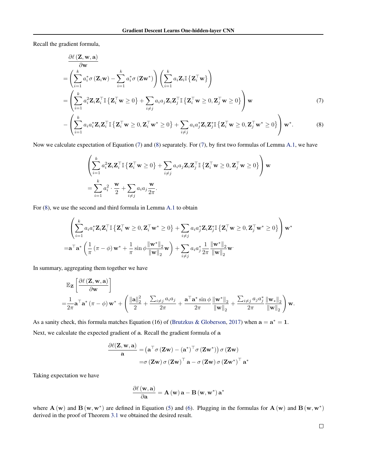Recall the gradient formula,

$$
\frac{\partial \ell(\mathbf{Z}, \mathbf{w}, \mathbf{a})}{\partial \mathbf{w}}
$$
\n
$$
= \left( \sum_{i=1}^{k} a_i^* \sigma(\mathbf{Z}_i \mathbf{w}) - \sum_{i=1}^{k} a_i^* \sigma(\mathbf{Z} \mathbf{w}^*) \right) \left( \sum_{i=1}^{k} a_i \mathbf{Z}_i \mathbb{I} \{ \mathbf{Z}_i^{\top} \mathbf{w} \} \right)
$$
\n
$$
= \left( \sum_{i=1}^{k} a_i^2 \mathbf{Z}_i \mathbf{Z}_i^{\top} \mathbb{I} \{ \mathbf{Z}_i^{\top} \mathbf{w} \ge 0 \} + \sum_{i \neq j} a_i a_j \mathbf{Z}_i \mathbf{Z}_j^{\top} \mathbb{I} \{ \mathbf{Z}_i^{\top} \mathbf{w} \ge 0, \mathbf{Z}_j^{\top} \mathbf{w} \ge 0 \} \right) \mathbf{w}
$$
\n(7)\n
$$
\left( \sum_{i=1}^{k} \mathbf{Z}_i \mathbf{Z}_i^{\top} \mathbf{Z}_i^{\top} \mathbf{Z}_i^{\top} \mathbf{z} - \mathbf{Q} \mathbf{Z}_i^{\top} \mathbf{z} + \mathbf{Q} \mathbf{Q} \mathbf{Z}_i^{\top} \mathbf{z} + \mathbf{Q} \mathbf{Q} \mathbf{Z}_i^{\top} \mathbf{z} + \mathbf{Q} \mathbf{Q} \mathbf{Z}_i^{\top} \mathbf{z} + \mathbf{Q} \mathbf{Q} \mathbf{Z}_i^{\top} \mathbf{z} + \mathbf{Q} \mathbf{Q} \mathbf{Z}_i^{\top} \mathbf{z} + \mathbf{Q} \mathbf{Q} \mathbf{Z}_i^{\top} \mathbf{z} + \mathbf{Q} \mathbf{Q} \mathbf{Z}_i^{\top} \mathbf{z} + \mathbf{Q} \mathbf{Q} \mathbf{Z}_i^{\top} \mathbf{z} + \mathbf{Q} \mathbf{Q} \mathbf{Z}_i^{\top} \mathbf{z} + \mathbf{Q} \mathbf{Q} \mathbf{Z}_i^{\top} \mathbf{z} + \mathbf{Q} \mathbf{Q} \mathbf{Z}_i^{\top} \mathbf{z} + \mathbf
$$

$$
-\left(\sum_{i=1}^{k} a_i a_i^* \mathbf{Z}_i \mathbf{Z}_i^\top \mathbb{I} \left\{ \mathbf{Z}_i^\top \mathbf{w} \ge 0, \mathbf{Z}_i^\top \mathbf{w}^* \ge 0 \right\} + \sum_{i \ne j} a_i a_j^* \mathbf{Z}_i \mathbf{Z}_j^* \mathbb{I} \left\{ \mathbf{Z}_i^\top \mathbf{w} \ge 0, \mathbf{Z}_j^\top \mathbf{w}^* \ge 0 \right\} \right) \mathbf{w}^*.
$$
 (8)

Now we calculate expectation of Equation (7) and (8) separately. For (7), by first two formulas of Lemma A.1, we have

$$
\left(\sum_{i=1}^k a_i^2 \mathbf{Z}_i \mathbf{Z}_i^\top \mathbb{I} \left\{\mathbf{Z}_i^\top \mathbf{w} \ge 0\right\} + \sum_{i \ne j} a_i a_j \mathbf{Z}_i \mathbf{Z}_j^\top \mathbb{I} \left\{\mathbf{Z}_i^\top \mathbf{w} \ge 0, \mathbf{Z}_j^\top \mathbf{w} \ge 0\right\}\right) \mathbf{w}
$$
  
= 
$$
\sum_{i=1}^k a_i^2 \cdot \frac{\mathbf{w}}{2} + \sum_{i \ne j} a_i a_j \frac{\mathbf{w}}{2\pi}.
$$

For (8), we use the second and third formula in Lemma A.1 to obtain

$$
\left(\sum_{i=1}^{k} a_i a_i^* \mathbf{Z}_i \mathbf{Z}_i^\top \mathbb{I} \left\{ \mathbf{Z}_i^\top \mathbf{w} \ge 0, \mathbf{Z}_i^\top \mathbf{w}^* \ge 0 \right\} + \sum_{i \ne j} a_i a_j^* \mathbf{Z}_i \mathbf{Z}_j^* \mathbb{I} \left\{ \mathbf{Z}_i^\top \mathbf{w} \ge 0, \mathbf{Z}_j^\top \mathbf{w}^* \ge 0 \right\} \right) \mathbf{w}^*
$$
  
= $\mathbf{a}^\top \mathbf{a}^* \left( \frac{1}{\pi} (\pi - \phi) \mathbf{w}^* + \frac{1}{\pi} \sin \phi \frac{\|\mathbf{w}^*\|_2}{\|\mathbf{w}\|_2} \mathbf{w} \right) + \sum_{i \ne j} a_i a_j^* \frac{1}{2\pi} \frac{\|\mathbf{w}^*\|_2}{\|\mathbf{w}\|_2} \mathbf{w}.$ 

In summary, aggregating them together we have

$$
\begin{split} &\mathbb{E}_{\mathbf{Z}}\left[\frac{\partial \ell\left(\mathbf{Z}, \mathbf{w}, \mathbf{a}\right)}{\partial \mathbf{w}}\right] \\ =&\frac{1}{2\pi} \mathbf{a}^\top \mathbf{a}^*\left(\pi-\phi\right) \mathbf{w}^* + \left(\frac{\left\|\mathbf{a}\right\|_2^2}{2} + \frac{\sum_{i\neq j} a_i a_j}{2\pi} + \frac{\mathbf{a}^\top \mathbf{a}^* \sin \phi}{2\pi} \frac{\left\|\mathbf{w}^*\right\|_2}{\left\|\mathbf{w}\right\|_2} + \frac{\sum_{i\neq j} a_j a_j^*}{2\pi} \frac{\left\|\mathbf{w}_*\right\|_2}{\left\|\mathbf{w}\right\|_2}\right) \mathbf{w}. \end{split}
$$

As a sanity check, this formula matches Equation (16) of (Brutzkus & Globerson, 2017) when  $a = a^* = 1$ . Next, we calculate the expected gradient of a. Recall the gradient formula of a

$$
\frac{\partial \ell(\mathbf{Z}, \mathbf{w}, \mathbf{a})}{\mathbf{a}} = (\mathbf{a}^\top \sigma(\mathbf{Z}\mathbf{w}) - (\mathbf{a}^*)^\top \sigma(\mathbf{Z}\mathbf{w}^*)) \sigma(\mathbf{Z}\mathbf{w}) \n= \sigma(\mathbf{Z}\mathbf{w}) \sigma(\mathbf{Z}\mathbf{w})^\top \mathbf{a} - \sigma(\mathbf{Z}\mathbf{w}) \sigma(\mathbf{Z}\mathbf{w}^*)^\top \mathbf{a}^*
$$

Taking expectation we have

$$
\frac{\partial \ell\left(\mathbf{w}, \mathbf{a}\right)}{\partial \mathbf{a}} = \mathbf{A}\left(\mathbf{w}\right) \mathbf{a} - \mathbf{B}\left(\mathbf{w}, \mathbf{w}^*\right) \mathbf{a}^*
$$

where  $A(w)$  and  $B(w, w^*)$  are defined in Equation (5) and (6). Plugging in the formulas for  $A(w)$  and  $B(w, w^*)$ derived in the proof of Theorem 3.1 we obtained the desired result.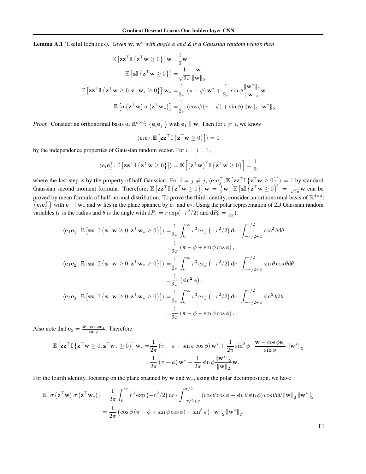**Lemma A.1** (Useful Identities). *Given* w,  $w^*$  *with angle*  $\phi$  *and* **Z** *is a Gaussian random vector, then* 

$$
\mathbb{E}\left[\mathbf{z}\mathbf{z}^{\top}\mathbb{I}\left\{\mathbf{z}^{\top}\mathbf{w}\geq 0\right\}\right]\mathbf{w}=\frac{1}{2}\mathbf{w}
$$
\n
$$
\mathbb{E}\left[\mathbf{z}\mathbb{I}\left\{\mathbf{z}^{\top}\mathbf{w}\geq 0\right\}\right]=\frac{1}{\sqrt{2\pi}}\frac{\mathbf{w}}{\|\mathbf{w}\|_{2}}
$$
\n
$$
\mathbb{E}\left[\mathbf{z}\mathbf{z}^{\top}\mathbb{I}\left\{\mathbf{z}^{\top}\mathbf{w}\geq 0, \mathbf{z}^{\top}\mathbf{w}_{*}\geq 0\right\}\right]\mathbf{w}_{*}=\frac{1}{2\pi}\left(\pi-\phi\right)\mathbf{w}^{*}+\frac{1}{2\pi}\sin\phi\frac{\|\mathbf{w}^{*}\|_{2}}{\|\mathbf{w}\|_{2}}\mathbf{w}
$$
\n
$$
\mathbb{E}\left[\sigma\left(\mathbf{z}^{\top}\mathbf{w}\right)\sigma\left(\mathbf{z}^{\top}\mathbf{w}_{*}\right)\right]=\frac{1}{2\pi}\left(\cos\phi\left(\pi-\phi\right)+\sin\phi\right)\|\mathbf{w}\|_{2}\left\|\mathbf{w}^{*}\right\|_{2}
$$

*Proof.* Consider an orthonormal basis of  $\mathbb{R}^{d \times d}$ :  $\{e_i e_j^{\top}\}\$  with  $e_1 \parallel w$ . Then for  $i \neq j$ , we know

 $\left\langle \mathbf{e}_i \mathbf{e}_j, \mathbb{E}\left[\mathbf{z}\mathbf{z}^\top \mathbb{I}\left\{ \mathbf{z}^\top \mathbf{w} \geq 0 \right\} \right] \right\rangle = 0$ 

by the independence properties of Gaussian random vector. For  $i = j = 1$ ,

$$
\langle \mathbf{e}_i\mathbf{e}_j^\top,\mathbb{E}\left[\mathbf{z}\mathbf{z}^\top\mathbb{I}\left\{\mathbf{z}^\top\mathbf{w}\geq 0\right\}\right]\rangle=\mathbb{E}\left[\left(\mathbf{z}^\top\mathbf{w}\right)^2\mathbb{I}\left\{\mathbf{z}^\top\mathbf{w}\geq 0\right\}\right]=\frac{1}{2}
$$

where the last step is by the property of half-Gaussian. For  $i = j \neq j$ ,  $\langle e_i e_j^\top, \mathbb{E} [ \mathbf{z} \mathbf{z}^\top \mathbb{I} \{ \mathbf{z}^\top \mathbf{w} \ge 0 \} ] \rangle = 1$  by standard Gaussian second moment formula. Therefore,  $\mathbb{E} \left[ \mathbf{z} \mathbf{z}^\top \mathbf{w} \ge 0 \right] \right] \mathbf{w} = \frac{1}{2} \mathbf{w}$ .  $\mathbb{E} \left[ \mathbf{z} \mathbb{I} \{ \mathbf{z}^\top \mathbf{w} \ge 0 \} \right] = \frac{1}{\sqrt{2\pi}} \mathbf{w}$  can be proved by mean formula of half-normal distribution. To prove the third identity, consider an orthonormal basis of  $\mathbb{R}^{d \times d}$ :  $\{e_i e_j^{\top}\}\$  with  $e_1 \parallel w_*$  and w lies in the plane spanned by  $e_1$  and  $e_2$ . Using the polar representation of 2D Gaussian random variables (*r* is the radius and  $\theta$  is the angle with  $dP_r = r \exp(-r^2/2)$  and  $dP_\theta = \frac{1}{2\pi}$ ):

$$
\langle \mathbf{e}_1 \mathbf{e}_1^\top, \mathbb{E} \left[ \mathbf{z} \mathbf{z}^\top \mathbb{I} \{ \mathbf{z}^\top \mathbf{w} \ge 0, \mathbf{z}^\top \mathbf{w}_* \ge 0 \} \right] \rangle = \frac{1}{2\pi} \int_0^\infty r^3 \exp(-r^2/2) \, dr \cdot \int_{-\pi/2 + \phi}^{\pi/2} \cos^2 \theta \, d\theta
$$
\n
$$
= \frac{1}{2\pi} \left( \pi - \phi + \sin \phi \cos \phi \right),
$$
\n
$$
\langle \mathbf{e}_1 \mathbf{e}_2^\top, \mathbb{E} \left[ \mathbf{z} \mathbf{z}^\top \mathbb{I} \{ \mathbf{z}^\top \mathbf{w} \ge 0, \mathbf{z}^\top \mathbf{w}_* \ge 0 \} \right] \rangle = \frac{1}{2\pi} \int_0^\infty r^3 \exp(-r^2/2) \, dr \cdot \int_{-\pi/2 + \phi}^{\pi/2} \sin \theta \cos \theta \, d\theta
$$
\n
$$
= \frac{1}{2\pi} \left( \sin^2 \phi \right),
$$
\n
$$
\langle \mathbf{e}_2 \mathbf{e}_2^\top, \mathbb{E} \left[ \mathbf{z} \mathbf{z}^\top \mathbb{I} \{ \mathbf{z}^\top \mathbf{w} \ge 0, \mathbf{z}^\top \mathbf{w}_* \ge 0 \} \right] \rangle = \frac{1}{2\pi} \int_0^\infty r^3 \exp(-r^2/2) \, dr \cdot \int_{-\pi/2 + \phi}^{\pi/2} \sin^2 \theta \, d\theta
$$
\n
$$
= \frac{1}{2\pi} \left( \pi - \phi - \sin \phi \cos \phi \right).
$$

Also note that  $\mathbf{e}_2 = \frac{\bar{\mathbf{w}} - \cos \phi \mathbf{e}_1}{\sin \phi}$ . Therefore

$$
\mathbb{E}\left[\mathbf{z}\mathbf{z}^{\top}\mathbb{I}\left\{\mathbf{z}^{\top}\mathbf{w}\geq 0,\mathbf{z}^{\top}\mathbf{w}_{*}\geq 0\right\}\right]\mathbf{w}_{*}=\frac{1}{2\pi}\left(\pi-\phi+\sin\phi\cos\phi\right)\mathbf{w}^{*}+\frac{1}{2\pi}\sin^{2}\phi\cdot\frac{\bar{\mathbf{w}}-\cos\phi\mathbf{e}_{1}}{\sin\phi}\left\|\mathbf{w}^{*}\right\|_{2}
$$

$$
=\frac{1}{2\pi}\left(\pi-\phi\right)\mathbf{w}^{*}+\frac{1}{2\pi}\sin\phi\frac{\left\|\mathbf{w}^{*}\right\|_{2}}{\left\|\mathbf{w}\right\|_{2}}\mathbf{w}.
$$

For the fourth identity, focusing on the plane spanned by  $w$  and  $w$ , using the polar decomposition, we have

$$
\mathbb{E}\left[\sigma\left(\mathbf{z}^{\top}\mathbf{w}\right)\sigma\left(\mathbf{z}^{\top}\mathbf{w}_{*}\right)\right] = \frac{1}{2\pi} \int_{0}^{\infty} r^{3} \exp\left(-r^{2}/2\right) dr \cdot \int_{-\pi/2+\phi}^{\pi/2} (\cos\theta\cos\phi + \sin\theta\sin\phi)\cos\theta d\theta \left\|\mathbf{w}\right\|_{2} \left\|\mathbf{w}^{*}\right\|_{2}
$$

$$
= \frac{1}{2\pi} \left(\cos\phi\left(\pi-\phi+\sin\phi\cos\phi\right)+\sin^{3}\phi\right) \left\|\mathbf{w}\right\|_{2} \left\|\mathbf{w}^{*}\right\|_{2}.
$$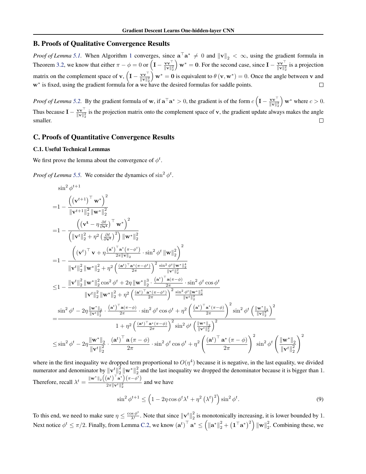### B. Proofs of Qualitative Convergence Results

*Proof of Lemma* 5.1. When Algorithm 1 converges, since  $\mathbf{a}^\top \mathbf{a}^* \neq 0$  and  $\|\mathbf{v}\|_2 < \infty$ , using the gradient formula in Theorem 3.2, we know that either  $\pi - \phi = 0$  or  $\left(\mathbf{I} - \frac{\mathbf{v}\mathbf{v}^\top}{\|\mathbf{v}\|_2^2}\right)$  $w^* = 0$ . For the second case, since  $I - \frac{vv^{\top}}{\|v\|_2^2}$  is a projection matrix on the complement space of  $\mathbf{v}$ ,  $\left(\mathbf{I} - \frac{\mathbf{v}\mathbf{v}^\top}{\|\mathbf{v}\|_2^2}\right)$  $\hat{\mathbf{y}}$  w<sup>\*</sup> = 0 is equivalent to  $\theta(\mathbf{v}, \mathbf{w}^*) = 0$ . Once the angle between v and  $w^*$  is fixed, using the gradient formula for a we have the desired formulas for saddle points.

*Proof of Lemma* 5.2. By the gradient formula of **w**, if  $\mathbf{a}^\top \mathbf{a}^* > 0$ , the gradient is of the form  $c \left( \mathbf{I} - \frac{\mathbf{v} \mathbf{v}^\top}{\|\mathbf{v}\|_2^2} \right)$  $\mathbf{w}^*$  where  $c > 0$ . Thus because  $I - \frac{vv^{\top}}{\|v\|_2^2}$  is the projection matrix onto the complement space of **v**, the gradient update always makes the angle smaller.  $\Box$ 

### C. Proofs of Quantitative Convergence Results

#### C.1. Useful Technical Lemmas

We first prove the lemma about the convergence of  $\phi^t$ .

*Proof of Lemma* 5.5. We consider the dynamics of  $\sin^2 \phi^t$ .

$$
\begin{split} &\sin^2\phi^{t+1}\\ =&1-\frac{\left((\mathbf{v}^{t+1})^\top\mathbf{w}^*\right)^2}{\|\mathbf{v}^{t+1}\|_2^2\|\mathbf{w}^*\|_2^2}\\ =&1-\frac{\left((\mathbf{v}^{t}-\eta\frac{\partial \ell}{\partial \mathbf{v}^t})^\top\mathbf{w}^*\right)^2}{\left(\|\mathbf{v}^{t}\|_2^2+\eta^2\left(\frac{\partial \ell}{\partial \mathbf{v}^t})^2\right)\|\mathbf{w}^*\|_2^2}\\ =&1-\frac{\left((\mathbf{v}^{t})^\top\mathbf{v}+\eta\frac{(\mathbf{a}^t)^\top\mathbf{a}^*(\pi-\phi^t)}{2\pi\|\mathbf{v}\|_2}\right)\cdot\sin^2\phi^t\|\mathbf{w}\|_2^2\right)^2}{\|\mathbf{v}^t\|_2^2\|\mathbf{w}^*\|_2^2+\eta^2\left(\frac{(\mathbf{a}^{t})^\top\mathbf{a}^*(\pi-\phi^t)}{2\pi}\right)^2\frac{\sin^2\phi^t\|\mathbf{w}^*\|_2^4}{\|\mathbf{v}^t\|_2^2}\\ \leq&1-\frac{\|\mathbf{v}^t\|_2^2\|\mathbf{w}^*\|_2^2\cos^2\phi^t+2\eta\|\mathbf{w}^*\|_2^2\cdot\frac{(\mathbf{a}^t)^\top\mathbf{a}(\pi-\phi)}{2\pi}\cdot\sin^2\phi^t\cos\phi^t}{\|\mathbf{v}^t\|_2^2}\\ =&\frac{\sin^2\phi^t-2\eta\frac{\|\mathbf{w}^*\|_2}{\|\mathbf{v}^t\|_2^2}\cdot\frac{(\mathbf{a}^t)^\top\mathbf{a}(\pi-\phi)}{2\pi}\cdot\sin^2\phi^t\cos\phi^t+\eta^2\left(\frac{(\mathbf{a}^t)^\top\mathbf{a}^*(\pi-\phi)}{2\pi}\right)^2\sin^2\phi^t\left(\frac{\|\mathbf{w}^*\|_2}{2\pi}\right)^2}{\|\mathbf{v}^t\|_2^2}\\ =&\frac{\sin^2\phi^t-2\eta\frac{\|\mathbf{w}^*\|_2}{\|\mathbf{v}^t\|_2^2}\cdot\frac{
$$

where in the first inequality we dropped term proportional to  $O(\eta^4)$  because it is negative, in the last equality, we divided numerator and denominator by  $\|\mathbf{v}^t\|_2^2 \|\mathbf{w}^*\|_2^2$  and the last inequality we dropped the denominator because it is bigger than 1. Therefore, recall  $\lambda^t = \frac{\|\mathbf{w}^*\|_2 \left(\left(\mathbf{a}^t\right)^\top \mathbf{a}^*\right) \left(\pi - \phi^t\right)}{2\pi \|\mathbf{w}^t\|^2}$  $\frac{(-\mathbf{r})}{2\pi \|\mathbf{v}^t\|_2^2}$  and we have

$$
\sin^2 \phi^{t+1} \le \left(1 - 2\eta \cos \phi^t \lambda^t + \eta^2 \left(\lambda^t\right)^2\right) \sin^2 \phi^t. \tag{9}
$$

To this end, we need to make sure  $\eta \leq \frac{\cos \phi^t}{\lambda^t}$ . Note that since  $\|\mathbf{v}^t\|_2^2$  is monotonically increasing, it is lower bounded by 1. Next notice  $\phi^t \le \pi/2$ . Finally, from Lemma C.2, we know  $(\mathbf{a}^t)^\top \mathbf{a}^* \le (\|\mathbf{a}^*\|_2^2 + (\mathbf{1}^\top \mathbf{a}^*)^2) \|\mathbf{w}\|_2^2$ . Combining these, we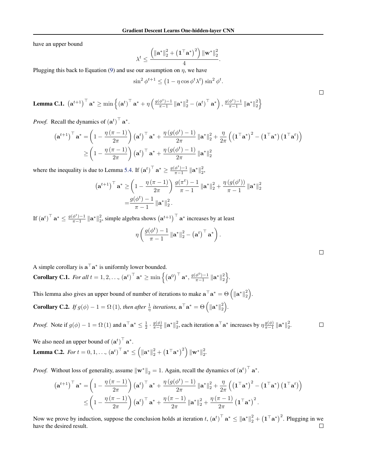have an upper bound

$$
\lambda^t \leq \frac{\left(\left\Vert \mathbf{a}^* \right\Vert_2^2 + \left(\mathbf{1}^\top \mathbf{a}^*\right)^2\right) \left\Vert \mathbf{w}^* \right\Vert_2^2}{4}.
$$

Plugging this back to Equation (9) and use our assumption on  $\eta$ , we have

$$
\sin^2 \phi^{t+1} \le (1 - \eta \cos \phi^t \lambda^t) \sin^2 \phi^t.
$$

**Lemma C.1.**  $(\mathbf{a}^{t+1})^{\top} \mathbf{a}^* \ge \min \left\{ (\mathbf{a}^t)^{\top} \mathbf{a}^* + \eta \left( \frac{g(\phi^t) - 1}{\pi - 1} \left\| \mathbf{a}^* \right\|_2^2 - (\mathbf{a}^t)^{\top} \mathbf{a}^* \right), \frac{g(\phi^t) - 1}{\pi - 1} \left\| \mathbf{a}^* \right\|_2^2 \right\}$ 

*Proof.* Recall the dynamics of  $(\mathbf{a}^t)^\top \mathbf{a}^*$ .

$$
\begin{aligned}\n\left(\mathbf{a}^{t+1}\right)^{\top} \mathbf{a}^* &= \left(1 - \frac{\eta\left(\pi - 1\right)}{2\pi}\right) \left(\mathbf{a}^t\right)^{\top} \mathbf{a}^* + \frac{\eta\left(g(\phi^t) - 1\right)}{2\pi} \left\|\mathbf{a}^*\right\|_2^2 + \frac{\eta}{2\pi} \left(\left(\mathbf{1}^{\top} \mathbf{a}^*\right)^2 - \left(\mathbf{1}^{\top} \mathbf{a}^*\right)\left(\mathbf{1}^{\top} \mathbf{a}^*\right)\right) \\
&\geq \left(1 - \frac{\eta\left(\pi - 1\right)}{2\pi}\right) \left(\mathbf{a}^t\right)^{\top} \mathbf{a}^* + \frac{\eta\left(g(\phi^t) - 1\right)}{2\pi} \left\|\mathbf{a}^*\right\|_2^2\n\end{aligned}
$$

where the inequality is due to Lemma 5.4. If  $(\mathbf{a}^t)^\top \mathbf{a}^* \ge \frac{g(\phi^t) - 1}{\pi - 1} \|\mathbf{a}^*\|_2^2$ ,

$$
\begin{aligned} \left(\mathbf{a}^{t+1}\right)^{\top} \mathbf{a}^* &\geq \left(1 - \frac{\eta\left(\pi - 1\right)}{2\pi}\right) \frac{g(\pi^t) - 1}{\pi - 1} \left\|\mathbf{a}^*\right\|_2^2 + \frac{\eta\left(g(\phi^t)\right)}{\pi - 1} \left\|\mathbf{a}^*\right\|_2^2 \\ &= \frac{g(\phi^t) - 1}{\pi - 1} \left\|\mathbf{a}^*\right\|_2^2. \end{aligned}
$$

If  $(\mathbf{a}^t)$ <sup>T</sup>  $\mathbf{a}^* \le \frac{g(\phi^t)-1}{\pi-1} ||\mathbf{a}^*||_2^2$ , simple algebra shows  $(\mathbf{a}^{t+1})$ <sup>T</sup>  $\mathbf{a}^*$  increases by at least

$$
\eta\left(\frac{g(\phi^t)-1}{\pi-1}\left\|\mathbf{a}^*\right\|_2^2-\left(\mathbf{a}^t\right)^\top\mathbf{a}^*\right)
$$

*.*

A simple corollary is  $\mathbf{a}^\top \mathbf{a}^*$  is uniformly lower bounded.

**Corollary C.1.** For all  $t = 1, 2, ..., (\mathbf{a}^t)^{\top} \mathbf{a}^* \ge \min\left\{ (\mathbf{a}^0)^{\top} \mathbf{a}^*, \frac{g(\phi^0)-1}{\pi-1} \|\mathbf{a}^*\|_2^2 \right\}$ .

This lemma also gives an upper bound of number of iterations to make  $\mathbf{a}^\top \mathbf{a}^* = \Theta\left(\|\mathbf{a}^*\|_2^2\right)$ . **Corollary C.2.** If  $g(\phi) - 1 = \Omega(1)$ , then after  $\frac{1}{\eta}$  iterations,  $\mathbf{a}^{\top} \mathbf{a}^* = \Theta\left(\|\mathbf{a}^*\|_2^2\right)$ .

*Proof.* Note if  $g(\phi) - 1 = \Omega(1)$  and  $\mathbf{a}^\top \mathbf{a}^* \leq \frac{1}{2} \cdot \frac{g(\phi)}{\pi - 1} \|\mathbf{a}^*\|_2^2$ , each iteration  $\mathbf{a}^\top \mathbf{a}^*$  increases by  $\eta \frac{g(\phi)}{\pi - 1} \|\mathbf{a}^*\|_2^2$ .

We also need an upper bound of  $(**a**<sup>t</sup>)<sup>-1</sup> **a**<sup>*</sup>$ . **Lemma C.2.** *For*  $t = 0, 1, ..., (\mathbf{a}^t)^{\top} \mathbf{a}^* \leq (\|\mathbf{a}^*\|_2^2 + (\mathbf{1}^{\top} \mathbf{a}^*)^2) \|\mathbf{w}^*\|_2^2$ .

*Proof.* Without loss of generality, assume  $\|\mathbf{w}^*\|_2 = 1$ . Again, recall the dynamics of  $(\mathbf{a}^t)^\top \mathbf{a}^*$ .

$$
\begin{split} \left(\mathbf{a}^{t+1}\right)^{\top} \mathbf{a}^* &= \left(1 - \frac{\eta\left(\pi - 1\right)}{2\pi}\right) \left(\mathbf{a}^t\right)^{\top} \mathbf{a}^* + \frac{\eta\left(g(\phi^t) - 1\right)}{2\pi} \left\|\mathbf{a}^*\right\|_2^2 + \frac{\eta}{2\pi} \left(\left(\mathbf{1}^{\top} \mathbf{a}^*\right)^2 - \left(\mathbf{1}^{\top} \mathbf{a}^*\right)\left(\mathbf{1}^{\top} \mathbf{a}^t\right)\right) \\ &\leq \left(1 - \frac{\eta\left(\pi - 1\right)}{2\pi}\right) \left(\mathbf{a}^t\right)^{\top} \mathbf{a}^* + \frac{\eta\left(\pi - 1\right)}{2\pi} \left\|\mathbf{a}^*\right\|_2^2 + \frac{\eta\left(\pi - 1\right)}{2\pi} \left(\mathbf{1}^{\top} \mathbf{a}^*\right)^2. \end{split}
$$

Now we prove by induction, suppose the conclusion holds at iteration  $t$ ,  $(\mathbf{a}^t)^\top \mathbf{a}^* \le ||\mathbf{a}^*||_2^2 + (\mathbf{1}^\top \mathbf{a}^*)^2$ . Plugging in we have the desired result. $\Box$ 

 $\Box$ 

 $\Box$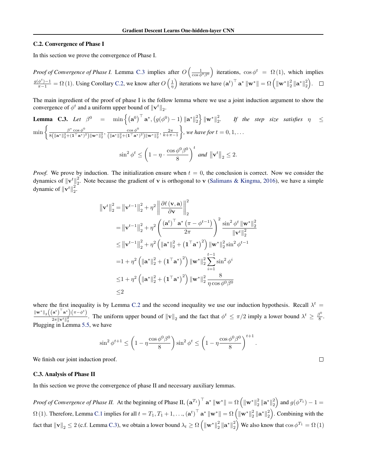#### C.2. Convergence of Phase I

In this section we prove the convergence of Phase I.

*Proof of Convergence of Phase I.* Lemma C.3 implies after  $O\left(\frac{1}{\cos \phi^0 \beta^0}\right)$ ) iterations,  $\cos \phi^t = \Omega(1)$ , which implies  $\frac{g(\phi^t)-1}{\pi-1} = \Omega(1)$ . Using Corollary C.2, we know after  $O\left(\frac{1}{\eta}\right)$ fiterations we have  $(\mathbf{a}^t)^\top \mathbf{a}^* \|\mathbf{w}^*\| = \Omega \left( \|\mathbf{w}^*\|_2^2 \|\mathbf{a}^*\|_2^2 \right)$ .

The main ingredient of the proof of phase I is the follow lemma where we use a joint induction argument to show the convergence of  $\phi^t$  and a uniform upper bound of  $\|\mathbf{v}^t\|_2$ .

**Lemma C.3.** Let 
$$
\beta^0
$$
 =  $\min \left\{ (\mathbf{a}^0)^\top \mathbf{a}^*, (g(\phi^0) - 1) \|\mathbf{a}^*\|_2^2 \right\} \|\mathbf{w}^*\|_2^2$ . If the step size satisfies  $\eta \le \min \left\{ \frac{\beta^* \cos \phi^0}{8(\|\mathbf{a}^*\|_2^2 + (\mathbf{1}^\top \mathbf{a}^*)^2) \|\mathbf{w}^*\|_2^2}, \frac{\cos \phi^0}{(\|\mathbf{a}^*\|_2^2 + (\mathbf{1}^\top \mathbf{a}^*)^2) \|\mathbf{w}^*\|_2^2}, \frac{2\pi}{k + \pi - 1} \right\}$ , we have for  $t = 0, 1, ...$   
 $\sin^2 \phi^t \le \left(1 - \eta \cdot \frac{\cos \phi^0 \beta^0}{8}\right)^t$  and  $\|\mathbf{v}^t\|_2 \le 2$ .

*Proof.* We prove by induction. The initialization ensure when  $t = 0$ , the conclusion is correct. Now we consider the dynamics of  $\|\mathbf{v}^t\|^2_2$ . Note because the gradient of **v** is orthogonal to **v** (Salimans & Kingma, 2016), we have a simple dynamic of  $\|\mathbf{v}^t\|_2^2$ .

$$
\|\mathbf{v}^{t}\|_{2}^{2} = \|\mathbf{v}^{t-1}\|_{2}^{2} + \eta^{2} \left\| \frac{\partial \ell(\mathbf{v}, \mathbf{a})}{\partial \mathbf{v}} \right\|_{2}^{2}
$$
  
\n
$$
= \|\mathbf{v}^{t-1}\|_{2}^{2} + \eta^{2} \left( \frac{(\mathbf{a}^{t})^{\top} \mathbf{a}^{*} (\pi - \phi^{t-1})}{2\pi} \right)^{2} \frac{\sin^{2} \phi^{t} \|\mathbf{w}^{*}\|_{2}^{2}}{\|\mathbf{v}^{t}\|_{2}^{2}}
$$
  
\n
$$
\leq \|\mathbf{v}^{t-1}\|_{2}^{2} + \eta^{2} \left( \|\mathbf{a}^{*}\|_{2}^{2} + (\mathbf{1}^{\top} \mathbf{a}^{*})^{2} \right) \|\mathbf{w}^{*}\|_{2}^{2} \sin^{2} \phi^{t-1}
$$
  
\n
$$
= 1 + \eta^{2} \left( \|\mathbf{a}^{*}\|_{2}^{2} + (\mathbf{1}^{\top} \mathbf{a}^{*})^{2} \right) \|\mathbf{w}^{*}\|_{2}^{2} \sum_{i=1}^{t-1} \sin^{2} \phi^{i}
$$
  
\n
$$
\leq 1 + \eta^{2} \left( \|\mathbf{a}^{*}\|_{2}^{2} + (\mathbf{1}^{\top} \mathbf{a}^{*})^{2} \right) \|\mathbf{w}^{*}\|_{2}^{2} \frac{8}{\eta \cos \phi^{0} \beta^{0}}
$$
  
\n
$$
\leq 2
$$

where the first inequality is by Lemma C.2 and the second inequality we use our induction hypothesis. Recall  $\lambda^t$  $\left\|\mathbf{w}^{*}\right\|_{2}\left(\left(\mathbf{a}^{t}\right)^{\top}\mathbf{a}^{*}\right)\left(\pi-\phi^{t}\right)$  $\frac{a^2}{2\pi \|\mathbf{v}^t\|_2^2}$ . The uniform upper bound of  $\|\mathbf{v}\|_2$  and the fact that  $\phi^t \le \pi/2$  imply a lower bound  $\lambda^t \ge \frac{\beta^0}{8}$ . Plugging in Lemma 5.5, we have

$$
\sin^2 \phi^{t+1} \le \left(1 - \eta \frac{\cos \phi^0 \beta^0}{8}\right) \sin^2 \phi^t \le \left(1 - \eta \frac{\cos \phi^0 \beta^0}{8}\right)^{t+1}.
$$

We finish our joint induction proof.

#### C.3. Analysis of Phase II

In this section we prove the convergence of phase II and necessary auxiliary lemmas.

*Proof of Convergence of Phase II.* At the beginning of Phase II,  $(\mathbf{a}^{T_1})^{\top} \mathbf{a}^* \|\mathbf{w}^*\| = \Omega \left( \|\mathbf{w}^*\|_2^2 \|\mathbf{a}^*\|_2^2 \right)$  and  $g(\phi^{T_1}) - 1 =$  $\Omega(1)$ . Therefore, Lemma C.1 implies for all  $t = T_1, T_1 + 1, \ldots, (\mathbf{a}^t)^\top \mathbf{a}^* \|\mathbf{w}^*\| = \Omega \left( {\|\mathbf{w}^*\|_2^2 \|\mathbf{a}^*\|_2^2} \right)$ . Combining with the fact that  $\|\mathbf{v}\|_2 \le 2$  (c.f. Lemma C.3), we obtain a lower bound  $\lambda_t \ge \Omega\left(\|\mathbf{w}^*\|_2^2 \|\mathbf{a}^*\|_2^2\right)$  We also know that  $\cos \phi^{T_1} = \Omega(1)$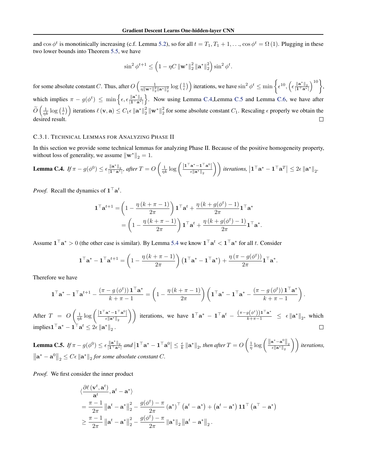and  $\cos \phi^t$  is monotinically increasing (c.f. Lemma 5.2), so for all  $t = T_1, T_1 + 1, \ldots, \cos \phi^t = \Omega(1)$ . Plugging in these two lower bounds into Theorem 5.5, we have

$$
\sin^2 \phi^{t+1} \le \left(1 - \eta C \left\|\mathbf{w}^*\right\|_2^2 \left\|\mathbf{a}^*\right\|_2^2\right) \sin^2 \phi^t.
$$

 $\frac{1}{\eta \|\mathbf{w}^*\|^2_2 \|\mathbf{a}^*\|^2_2} \log\left(\frac{1}{\epsilon}\right)$  iterations, we have  $\sin^2 \phi^t \le \min \left\{ \epsilon^{10}, \left( \epsilon \frac{\|\mathbf{a}^*\|_2}{\|\mathbf{1}^\top \mathbf{a}^*\|} \right)$  $\Big)^{10}$ , for some absolute constant *C*. Thus, after  $O\left(\frac{1}{\sqrt{||\mathbf{w}||^2}}\right)$ which implies  $\pi - g(\phi^t) \leq \min\left\{\epsilon, \epsilon \frac{\|\mathbf{a}^*\|_2}{\|\mathbf{1}^\top \mathbf{a}^*\|}\right\}$ o . Now using Lemma C.4,Lemma C.5 and Lemma C.6, we have after  $\widetilde{O}\left(\frac{1}{nk}\log\left(\frac{1}{\epsilon}\right)\right)$  iterations  $\ell(\mathbf{v}, \mathbf{a}) \leq C_1 \epsilon \|\mathbf{a}^*\|_2^2 \|\mathbf{w}^*\|_2^2$  for some absolute constant  $C_1$ . Rescaling  $\epsilon$  properly we obtain the desired result.  $\Box$ 

### C.3.1. TECHNICAL LEMMAS FOR ANALYZING PHASE II

In this section we provide some technical lemmas for analyzing Phase II. Because of the positive homogeneity property, without loss of generality, we assume  $\|\mathbf{w}^*\|_2 = 1$ .

**Lemma C.4.** If 
$$
\pi - g(\phi^0) \le \epsilon \frac{\|\mathbf{a}^*\|_2}{|\mathbf{1}^\top \mathbf{a}^*|}
$$
, after  $T = O\left(\frac{1}{\eta k} \log \left(\frac{|\mathbf{1}^\top \mathbf{a}^* - \mathbf{1}^\top \mathbf{a}^0|}{\epsilon \|\mathbf{a}^*\|_2}\right)\right)$  iterations,  $|\mathbf{1}^\top \mathbf{a}^* - \mathbf{1}^\top \mathbf{a}^T| \le 2\epsilon \|\mathbf{a}^*\|_2$ .

*Proof.* Recall the dynamics of  $\mathbf{1}^\top \mathbf{a}^t$ .

$$
\mathbf{1}^{\top} \mathbf{a}^{t+1} = \left(1 - \frac{\eta \left(k + \pi - 1\right)}{2\pi}\right) \mathbf{1}^{\top} \mathbf{a}^{t} + \frac{\eta \left(k + g(\phi^{t}) - 1\right)}{2\pi} \mathbf{1}^{\top} \mathbf{a}^{*}
$$

$$
= \left(1 - \frac{\eta \left(k + \pi - 1\right)}{2\pi}\right) \mathbf{1}^{\top} \mathbf{a}^{t} + \frac{\eta \left(k + g(\phi^{t}) - 1\right)}{2\pi} \mathbf{1}^{\top} \mathbf{a}^{*}.
$$

Assume  $\mathbf{1}^\top \mathbf{a}^* > 0$  (the other case is similar). By Lemma 5.4 we know  $\mathbf{1}^\top \mathbf{a}^t < \mathbf{1}^\top \mathbf{a}^*$  for all *t*. Consider

$$
\mathbf{1}^\top \mathbf{a}^* - \mathbf{1}^\top \mathbf{a}^{t+1} = \left(1 - \frac{\eta \left(k + \pi - 1\right)}{2\pi}\right) \left(\mathbf{1}^\top \mathbf{a}^* - \mathbf{1}^\top \mathbf{a}^*\right) + \frac{\eta \left(\pi - g(\phi^t)\right)}{2\pi} \mathbf{1}^\top \mathbf{a}^*.
$$

Therefore we have

$$
\mathbf{1}^\top \mathbf{a}^* - \mathbf{1}^\top \mathbf{a}^{t+1} - \frac{(\pi - g(\phi^t)) \mathbf{1}^\top \mathbf{a}^*}{k + \pi - 1} = \left(1 - \frac{\eta \left(k + \pi - 1\right)}{2\pi}\right) \left(\mathbf{1}^\top \mathbf{a}^* - \mathbf{1}^\top \mathbf{a}^* - \frac{(\pi - g(\phi^t)) \mathbf{1}^\top \mathbf{a}^*}{k + \pi - 1}\right).
$$

After *T* = *O*  $\left(\frac{1}{nk}\log\left(\frac{\left|\mathbf{1}^\top\mathbf{a}^*-\mathbf{1}^\top\mathbf{a}^0\right|}{\epsilon\|\mathbf{a}^*\|_2}\right)\right)$  iterations, we have  $\mathbf{1}^\top\mathbf{a}^*-\mathbf{1}^\top\mathbf{a}^t-\frac{(\pi-g(\phi^t))\mathbf{1}^\top\mathbf{a}^*}{k+\pi-1}\leq \epsilon \|\mathbf{a}^*\|_2$ , which  $\text{implies} \mathbf{1}^\top \mathbf{a}^* - \mathbf{1}^\top \mathbf{a}^t \leq 2\epsilon \left\| \mathbf{a}^* \right\|_2.$ 

**Lemma C.5.** If  $\pi - g(\phi^0) \le \epsilon \frac{\|\mathbf{a}^*\|_2}{|\mathbf{1}^\top \mathbf{a}^*|}$  and  $|\mathbf{1}^\top \mathbf{a}^* - \mathbf{1}^\top \mathbf{a}^0| \le \frac{\epsilon}{k} ||\mathbf{a}^*||_2$ , then after  $T = O$  $\left(\frac{1}{\eta}\log\left(\frac{\|\mathbf{a}^*-\mathbf{a}^0\|_2}{\epsilon\|\mathbf{a}^*\|_2}\right)\right)$  iterations,  $\left\|\mathbf{a}^* - \mathbf{a}^0\right\|_2 \leq C\epsilon \left\|\mathbf{a}^*\right\|_2$  *for some absolute constant C.* 

*Proof.* We first consider the inner product

$$
\langle \frac{\partial \ell(\mathbf{v}^t, \mathbf{a}^t)}{\mathbf{a}^t}, \mathbf{a}^t - \mathbf{a}^* \rangle
$$
  
=  $\frac{\pi - 1}{2\pi} ||\mathbf{a}^t - \mathbf{a}^*||_2^2 - \frac{g(\phi^t) - \pi}{2\pi} (\mathbf{a}^*)^\top (\mathbf{a}^t - \mathbf{a}^*) + (\mathbf{a}^t - \mathbf{a}^*) \mathbf{1} \mathbf{1}^\top (\mathbf{a}^\top - \mathbf{a}^*)$   
 $\ge \frac{\pi - 1}{2\pi} ||\mathbf{a}^t - \mathbf{a}^*||_2^2 - \frac{g(\phi^t) - \pi}{2\pi} ||\mathbf{a}^*||_2 ||\mathbf{a}^t - \mathbf{a}^*||_2.$